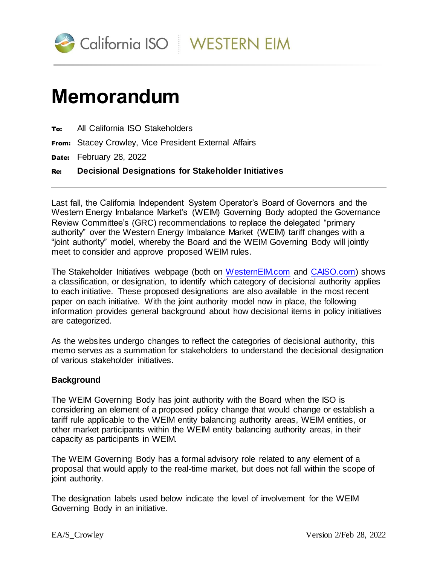

## **Memorandum**

| To: |  |  |  | All California ISO Stakeholders |
|-----|--|--|--|---------------------------------|
|-----|--|--|--|---------------------------------|

From: Stacey Crowley, Vice President External Affairs

Date: February 28, 2022

Re: **Decisional Designations for Stakeholder Initiatives**

Last fall, the California Independent System Operator's Board of Governors and the Western Energy Imbalance Market's (WEIM) Governing Body adopted the Governance Review Committee's (GRC) recommendations to replace the delegated "primary authority" over the Western Energy Imbalance Market (WEIM) tariff changes with a "joint authority" model, whereby the Board and the WEIM Governing Body will jointly meet to consider and approve proposed WEIM rules.

The Stakeholder Initiatives webpage (both on [WesternEIM.com](https://www.westerneim.com/Pages/Initiatives/Default.aspx) and [CAISO.com\)](https://stakeholdercenter.caiso.com/StakeholderInitiatives/EIM-resource-sufficiency-evaluation-enhancements) shows a classification, or designation, to identify which category of decisional authority applies to each initiative. These proposed designations are also available in the most recent paper on each initiative. With the joint authority model now in place, the following information provides general background about how decisional items in policy initiatives are categorized.

As the websites undergo changes to reflect the categories of decisional authority, this memo serves as a summation for stakeholders to understand the decisional designation of various stakeholder initiatives.

## **Background**

The WEIM Governing Body has joint authority with the Board when the ISO is considering an element of a proposed policy change that would change or establish a tariff rule applicable to the WEIM entity balancing authority areas, WEIM entities, or other market participants within the WEIM entity balancing authority areas, in their capacity as participants in WEIM.

The WEIM Governing Body has a formal advisory role related to any element of a proposal that would apply to the real-time market, but does not fall within the scope of joint authority.

The designation labels used below indicate the level of involvement for the WEIM Governing Body in an initiative.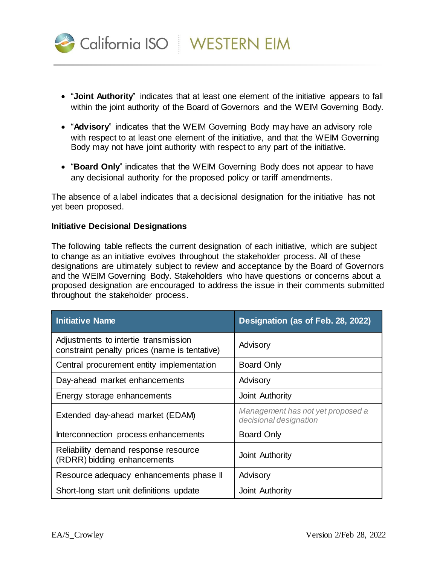

- "**Joint Authority**" indicates that at least one element of the initiative appears to fall within the joint authority of the Board of Governors and the WEIM Governing Body.
- "Advisory" indicates that the WEIM Governing Body may have an advisory role with respect to at least one element of the initiative, and that the WEIM Governing Body may not have joint authority with respect to any part of the initiative.
- "**Board Only**" indicates that the WEIM Governing Body does not appear to have any decisional authority for the proposed policy or tariff amendments.

The absence of a label indicates that a decisional designation for the initiative has not yet been proposed.

## **Initiative Decisional Designations**

The following table reflects the current designation of each initiative, which are subject to change as an initiative evolves throughout the stakeholder process. All of these designations are ultimately subject to review and acceptance by the Board of Governors and the WEIM Governing Body. Stakeholders who have questions or concerns about a proposed designation are encouraged to address the issue in their comments submitted throughout the stakeholder process.

| Initiative Name                                                                       | Designation (as of Feb. 28, 2022)                           |  |
|---------------------------------------------------------------------------------------|-------------------------------------------------------------|--|
| Adjustments to intertie transmission<br>constraint penalty prices (name is tentative) | Advisory                                                    |  |
| Central procurement entity implementation                                             | <b>Board Only</b>                                           |  |
| Day-ahead market enhancements                                                         | Advisory                                                    |  |
| Energy storage enhancements                                                           | Joint Authority                                             |  |
| Extended day-ahead market (EDAM)                                                      | Management has not yet proposed a<br>decisional designation |  |
| Interconnection process enhancements                                                  | <b>Board Only</b>                                           |  |
| Reliability demand response resource<br>(RDRR) bidding enhancements                   | Joint Authority                                             |  |
| Resource adequacy enhancements phase II                                               | Advisory                                                    |  |
| Short-long start unit definitions update                                              | Joint Authority                                             |  |